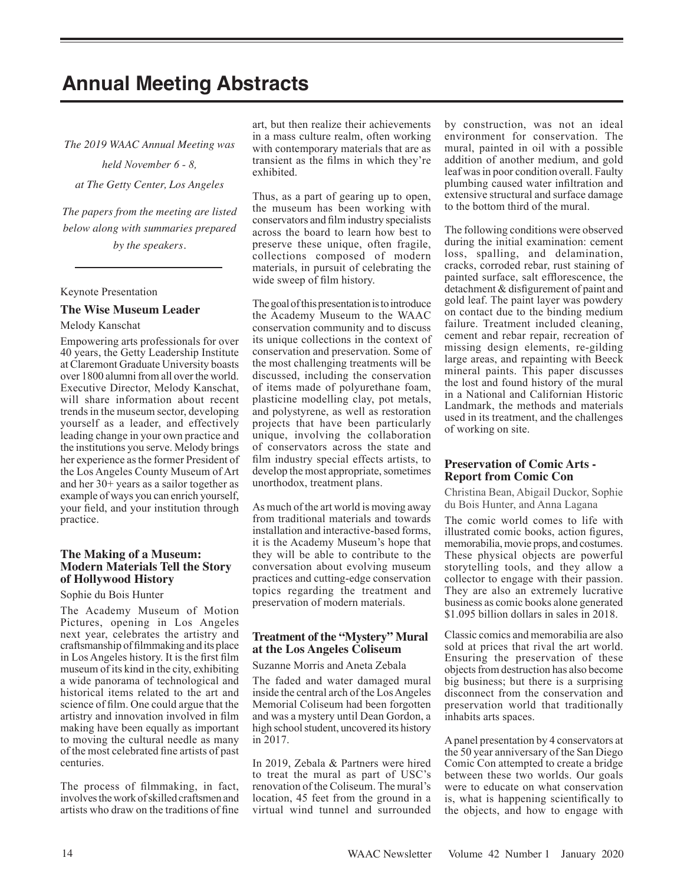# **Annual Meeting Abstracts**

*The 2019 WAAC Annual Meeting was* 

*held November 6 - 8,*

*at The Getty Center, Los Angeles* 

*The papers from the meeting are listed below along with summaries prepared by the speakers.*

#### Keynote Presentation

#### **The Wise Museum Leader**

Melody Kanschat

Empowering arts professionals for over 40 years, the Getty Leadership Institute at Claremont Graduate University boasts over 1800 alumni from all over the world. Executive Director, Melody Kanschat, will share information about recent trends in the museum sector, developing yourself as a leader, and effectively leading change in your own practice and the institutions you serve. Melody brings her experience as the former President of the Los Angeles County Museum of Art and her 30+ years as a sailor together as example of ways you can enrich yourself, your field, and your institution through practice.

# **The Making of a Museum: Modern Materials Tell the Story of Hollywood History**

#### Sophie du Bois Hunter

The Academy Museum of Motion Pictures, opening in Los Angeles next year, celebrates the artistry and craftsmanship of filmmaking and its place in Los Angeles history. It is the first film museum of its kind in the city, exhibiting a wide panorama of technological and historical items related to the art and science of film. One could argue that the artistry and innovation involved in film making have been equally as important to moving the cultural needle as many of the most celebrated fine artists of past centuries.

The process of filmmaking, in fact, involves the work of skilled craftsmen and artists who draw on the traditions of fine art, but then realize their achievements in a mass culture realm, often working with contemporary materials that are as transient as the films in which they're exhibited.

Thus, as a part of gearing up to open, the museum has been working with conservators and film industry specialists across the board to learn how best to preserve these unique, often fragile, collections composed of modern materials, in pursuit of celebrating the wide sweep of film history.

The goal of this presentation is to introduce the Academy Museum to the WAAC conservation community and to discuss its unique collections in the context of conservation and preservation. Some of the most challenging treatments will be discussed, including the conservation of items made of polyurethane foam, plasticine modelling clay, pot metals, and polystyrene, as well as restoration projects that have been particularly unique, involving the collaboration of conservators across the state and film industry special effects artists, to develop the most appropriate, sometimes unorthodox, treatment plans.

As much of the art world is moving away from traditional materials and towards installation and interactive-based forms, it is the Academy Museum's hope that they will be able to contribute to the conversation about evolving museum practices and cutting-edge conservation topics regarding the treatment and preservation of modern materials.

# **Treatment of the "Mystery" Mural at the Los Angeles Coliseum**

Suzanne Morris and Aneta Zebala

The faded and water damaged mural inside the central arch of the Los Angeles Memorial Coliseum had been forgotten and was a mystery until Dean Gordon, a high school student, uncovered its history in 2017.

In 2019, Zebala & Partners were hired to treat the mural as part of USC's renovation of the Coliseum. The mural's location, 45 feet from the ground in a virtual wind tunnel and surrounded by construction, was not an ideal environment for conservation. The mural, painted in oil with a possible addition of another medium, and gold leaf was in poor condition overall. Faulty plumbing caused water infiltration and extensive structural and surface damage to the bottom third of the mural.

The following conditions were observed during the initial examination: cement loss, spalling, and delamination, cracks, corroded rebar, rust staining of painted surface, salt efflorescence, the detachment & disfigurement of paint and gold leaf. The paint layer was powdery on contact due to the binding medium failure. Treatment included cleaning, cement and rebar repair, recreation of missing design elements, re-gilding large areas, and repainting with Beeck mineral paints. This paper discusses the lost and found history of the mural in a National and Californian Historic Landmark, the methods and materials used in its treatment, and the challenges of working on site.

# **Preservation of Comic Arts - Report from Comic Con**

Christina Bean, Abigail Duckor, Sophie du Bois Hunter, and Anna Lagana

The comic world comes to life with illustrated comic books, action figures, memorabilia, movie props, and costumes. These physical objects are powerful storytelling tools, and they allow a collector to engage with their passion. They are also an extremely lucrative business as comic books alone generated \$1.095 billion dollars in sales in 2018.

Classic comics and memorabilia are also sold at prices that rival the art world. Ensuring the preservation of these objects from destruction has also become big business; but there is a surprising disconnect from the conservation and preservation world that traditionally inhabits arts spaces.

A panel presentation by 4 conservators at the 50 year anniversary of the San Diego Comic Con attempted to create a bridge between these two worlds. Our goals were to educate on what conservation is, what is happening scientifically to the objects, and how to engage with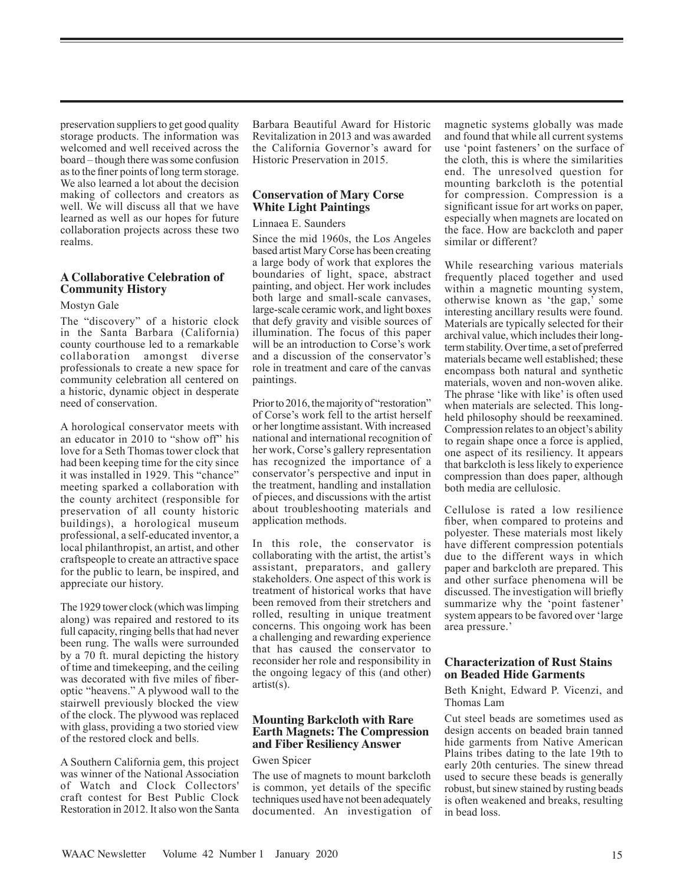preservation suppliers to get good quality storage products. The information was welcomed and well received across the board – though there was some confusion as to the finer points of long term storage. We also learned a lot about the decision making of collectors and creators as well. We will discuss all that we have learned as well as our hopes for future collaboration projects across these two realms.

# **A Collaborative Celebration of Community History**

#### Mostyn Gale

The "discovery" of a historic clock in the Santa Barbara (California) county courthouse led to a remarkable collaboration amongst diverse professionals to create a new space for community celebration all centered on a historic, dynamic object in desperate need of conservation.

A horological conservator meets with an educator in 2010 to "show off" his love for a Seth Thomas tower clock that had been keeping time for the city since it was installed in 1929. This "chance" meeting sparked a collaboration with the county architect (responsible for preservation of all county historic buildings), a horological museum professional, a self-educated inventor, a local philanthropist, an artist, and other craftspeople to create an attractive space for the public to learn, be inspired, and appreciate our history.

The 1929 tower clock (which was limping along) was repaired and restored to its full capacity, ringing bells that had never been rung. The walls were surrounded by a 70 ft. mural depicting the history of time and timekeeping, and the ceiling was decorated with five miles of fiberoptic "heavens." A plywood wall to the stairwell previously blocked the view of the clock. The plywood was replaced with glass, providing a two storied view of the restored clock and bells.

A Southern California gem, this project was winner of the National Association of Watch and Clock Collectors' craft contest for Best Public Clock Restoration in 2012. It also won the Santa

Barbara Beautiful Award for Historic Revitalization in 2013 and was awarded the California Governor's award for Historic Preservation in 2015.

# **Conservation of Mary Corse White Light Paintings**

#### Linnaea E. Saunders

Since the mid 1960s, the Los Angeles based artist Mary Corse has been creating a large body of work that explores the boundaries of light, space, abstract painting, and object. Her work includes both large and small-scale canvases, large-scale ceramic work, and light boxes that defy gravity and visible sources of illumination. The focus of this paper will be an introduction to Corse's work and a discussion of the conservator's role in treatment and care of the canvas paintings.

Prior to 2016, the majority of "restoration" of Corse's work fell to the artist herself or her longtime assistant. With increased national and international recognition of her work, Corse's gallery representation has recognized the importance of a conservator's perspective and input in the treatment, handling and installation of pieces, and discussions with the artist about troubleshooting materials and application methods.

In this role, the conservator is collaborating with the artist, the artist's assistant, preparators, and gallery stakeholders. One aspect of this work is treatment of historical works that have been removed from their stretchers and rolled, resulting in unique treatment concerns. This ongoing work has been a challenging and rewarding experience that has caused the conservator to reconsider her role and responsibility in the ongoing legacy of this (and other) artist(s).

# **Mounting Barkcloth with Rare Earth Magnets: The Compression and Fiber Resiliency Answer**

## Gwen Spicer

The use of magnets to mount barkcloth is common, yet details of the specific techniques used have not been adequately documented. An investigation of magnetic systems globally was made and found that while all current systems use 'point fasteners' on the surface of the cloth, this is where the similarities end. The unresolved question for mounting barkcloth is the potential for compression. Compression is a significant issue for art works on paper, especially when magnets are located on the face. How are backcloth and paper similar or different?

While researching various materials frequently placed together and used within a magnetic mounting system, otherwise known as 'the gap,' some interesting ancillary results were found. Materials are typically selected for their archival value, which includes their longterm stability. Over time, a set of preferred materials became well established; these encompass both natural and synthetic materials, woven and non-woven alike. The phrase 'like with like' is often used when materials are selected. This longheld philosophy should be reexamined. Compression relates to an object's ability to regain shape once a force is applied, one aspect of its resiliency. It appears that barkcloth is less likely to experience compression than does paper, although both media are cellulosic.

Cellulose is rated a low resilience fiber, when compared to proteins and polyester. These materials most likely have different compression potentials due to the different ways in which paper and barkcloth are prepared. This and other surface phenomena will be discussed. The investigation will briefly summarize why the 'point fastener' system appears to be favored over 'large area pressure.'

#### **Characterization of Rust Stains on Beaded Hide Garments**

Beth Knight, Edward P. Vicenzi, and Thomas Lam

Cut steel beads are sometimes used as design accents on beaded brain tanned hide garments from Native American Plains tribes dating to the late 19th to early 20th centuries. The sinew thread used to secure these beads is generally robust, but sinew stained by rusting beads is often weakened and breaks, resulting in bead loss.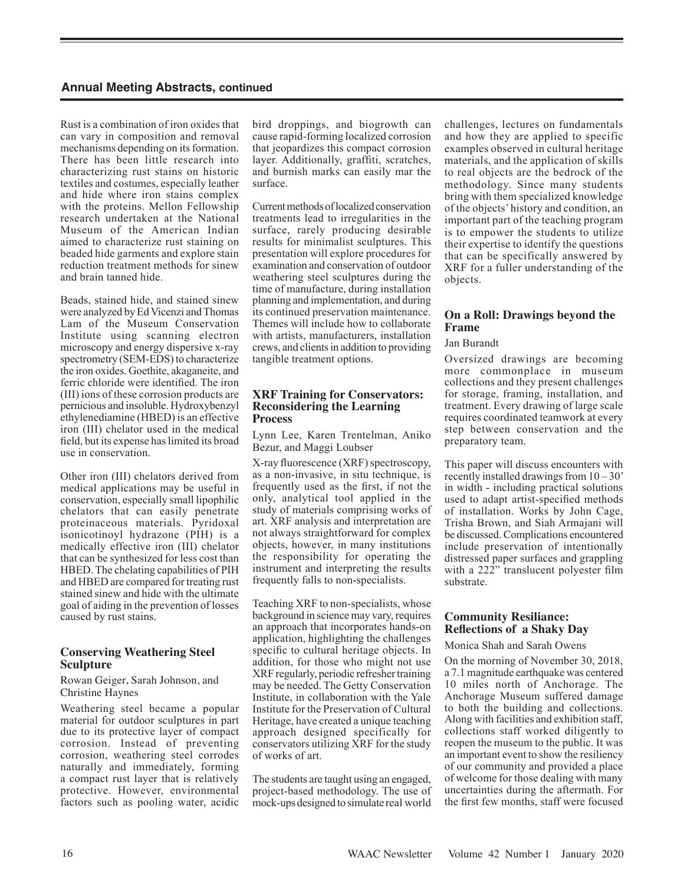Rust is a combination of iron oxides that can vary in composition and removal mechanisms depending on its formation. There has been little research into characterizing rust stains on historic textiles and costumes, especially leather and hide where iron stains complex with the proteins. Mellon Fellowship research undertaken at the National Museum of the American Indian aimed to characterize rust staining on beaded hide garments and explore stain reduction treatment methods for sinew and brain tanned hide.

Beads, stained hide, and stained sinew were analyzed by Ed Vicenzi and Thomas Lam of the Museum Conservation Institute using scanning electron microscopy and energy dispersive x-ray spectrometry (SEM-EDS) to characterize the iron oxides. Goethite, akaganeite, and ferric chloride were identified. The iron (III) ions of these corrosion products are pernicious and insoluble. Hydroxybenzyl ethylenediamine (HBED) is an effective iron (III) chelator used in the medical field, but its expense has limited its broad use in conservation.

Other iron (III) chelators derived from medical applications may be useful in conservation, especially small lipophilic chelators that can easily penetrate proteinaceous materials. Pyridoxal isonicotinoyl hydrazone (PIH) is a medically effective iron (III) chelator that can be synthesized for less cost than HBED. The chelating capabilities of PIH and HBED are compared for treating rust stained sinew and hide with the ultimate goal of aiding in the prevention of losses caused by rust stains.

# **Conserving Weathering Steel Sculpture**

#### Rowan Geiger, Sarah Johnson, and Christine Haynes

Weathering steel became a popular material for outdoor sculptures in part due to its protective layer of compact corrosion. Instead of preventing corrosion, weathering steel corrodes naturally and immediately, forming a compact rust layer that is relatively protective. However, environmental factors such as pooling water, acidic

bird droppings, and biogrowth can cause rapid-forming localized corrosion that jeopardizes this compact corrosion layer. Additionally, graffiti, scratches, and burnish marks can easily mar the surface.

Current methods of localized conservation treatments lead to irregularities in the surface, rarely producing desirable results for minimalist sculptures. This presentation will explore procedures for examination and conservation of outdoor weathering steel sculptures during the time of manufacture, during installation planning and implementation, and during its continued preservation maintenance. Themes will include how to collaborate with artists, manufacturers, installation crews, and clients in addition to providing tangible treatment options.

# **XRF Training for Conservators: Reconsidering the Learning Process**

Lynn Lee, Karen Trentelman, Aniko Bezur, and Maggi Loubser

X-ray fluorescence (XRF) spectroscopy, as a non-invasive, in situ technique, is frequently used as the first, if not the only, analytical tool applied in the study of materials comprising works of art. XRF analysis and interpretation are not always straightforward for complex objects, however, in many institutions the responsibility for operating the instrument and interpreting the results frequently falls to non-specialists.

Teaching XRF to non-specialists, whose background in science may vary, requires an approach that incorporates hands-on application, highlighting the challenges specific to cultural heritage objects. In addition, for those who might not use XRF regularly, periodic refresher training may be needed. The Getty Conservation Institute, in collaboration with the Yale Institute for the Preservation of Cultural Heritage, have created a unique teaching approach designed specifically for conservators utilizing XRF for the study of works of art.

The students are taught using an engaged, project-based methodology. The use of mock-ups designed to simulate real world challenges, lectures on fundamentals and how they are applied to specific examples observed in cultural heritage materials, and the application of skills to real objects are the bedrock of the methodology. Since many students bring with them specialized knowledge of the objects' history and condition, an important part of the teaching program is to empower the students to utilize their expertise to identify the questions that can be specifically answered by XRF for a fuller understanding of the objects.

#### **On a Roll: Drawings beyond the Frame**

## Jan Burandt

Oversized drawings are becoming more commonplace in museum collections and they present challenges for storage, framing, installation, and treatment. Every drawing of large scale requires coordinated teamwork at every step between conservation and the preparatory team.

This paper will discuss encounters with recently installed drawings from  $10 - 30$ in width - including practical solutions used to adapt artist-specified methods of installation. Works by John Cage, Trisha Brown, and Siah Armajani will be discussed. Complications encountered include preservation of intentionally distressed paper surfaces and grappling with a 222" translucent polyester film substrate.

# **Community Resiliance: Reflections of a Shaky Day**

#### Monica Shah and Sarah Owens

On the morning of November 30, 2018, a 7.1 magnitude earthquake was centered 10 miles north of Anchorage. The Anchorage Museum suffered damage to both the building and collections. Along with facilities and exhibition staff, collections staff worked diligently to reopen the museum to the public. It was an important event to show the resiliency of our community and provided a place of welcome for those dealing with many uncertainties during the aftermath. For the first few months, staff were focused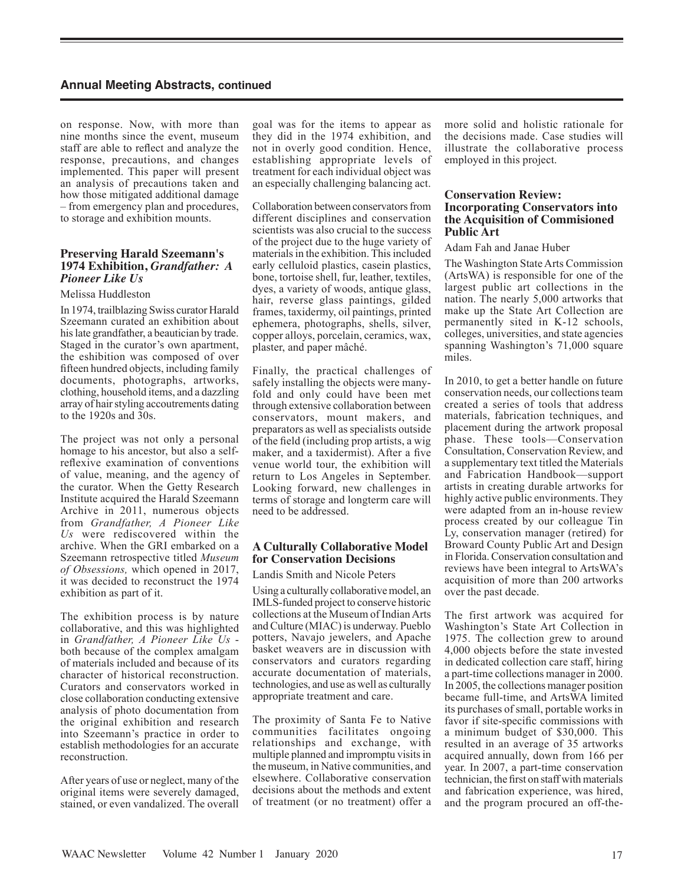on response. Now, with more than nine months since the event, museum staff are able to reflect and analyze the response, precautions, and changes implemented. This paper will present an analysis of precautions taken and how those mitigated additional damage – from emergency plan and procedures, to storage and exhibition mounts.

# **Preserving Harald Szeemann's 1974 Exhibition,** *Grandfather: A Pioneer Like Us*

#### Melissa Huddleston

In 1974, trailblazing Swiss curator Harald Szeemann curated an exhibition about his late grandfather, a beautician by trade. Staged in the curator's own apartment, the eshibition was composed of over fifteen hundred objects, including family documents, photographs, artworks, clothing, household items, and a dazzling array of hair styling accoutrements dating to the 1920s and 30s.

The project was not only a personal homage to his ancestor, but also a selfreflexive examination of conventions of value, meaning, and the agency of the curator. When the Getty Research Institute acquired the Harald Szeemann Archive in 2011, numerous objects from *Grandfather, A Pioneer Like Us* were rediscovered within the archive. When the GRI embarked on a Szeemann retrospective titled *Museum of Obsessions,* which opened in 2017, it was decided to reconstruct the 1974 exhibition as part of it.

The exhibition process is by nature collaborative, and this was highlighted in *Grandfather, A Pioneer Like Us* both because of the complex amalgam of materials included and because of its character of historical reconstruction. Curators and conservators worked in close collaboration conducting extensive analysis of photo documentation from the original exhibition and research into Szeemann's practice in order to establish methodologies for an accurate reconstruction.

After years of use or neglect, many of the original items were severely damaged, stained, or even vandalized. The overall goal was for the items to appear as they did in the 1974 exhibition, and not in overly good condition. Hence, establishing appropriate levels of treatment for each individual object was an especially challenging balancing act.

Collaboration between conservators from different disciplines and conservation scientists was also crucial to the success of the project due to the huge variety of materials in the exhibition. This included early celluloid plastics, casein plastics, bone, tortoise shell, fur, leather, textiles, dyes, a variety of woods, antique glass, hair, reverse glass paintings, gilded frames, taxidermy, oil paintings, printed ephemera, photographs, shells, silver, copper alloys, porcelain, ceramics, wax, plaster, and paper mâché.

Finally, the practical challenges of safely installing the objects were manyfold and only could have been met through extensive collaboration between conservators, mount makers, and preparators as well as specialists outside of the field (including prop artists, a wig maker, and a taxidermist). After a five venue world tour, the exhibition will return to Los Angeles in September. Looking forward, new challenges in terms of storage and longterm care will need to be addressed.

## **A Culturally Collaborative Model for Conservation Decisions**

Landis Smith and Nicole Peters

Using a culturally collaborative model, an IMLS-funded project to conserve historic collections at the Museum of Indian Arts and Culture (MIAC) is underway. Pueblo potters, Navajo jewelers, and Apache basket weavers are in discussion with conservators and curators regarding accurate documentation of materials, technologies, and use as well as culturally appropriate treatment and care.

The proximity of Santa Fe to Native communities facilitates ongoing relationships and exchange, with multiple planned and impromptu visits in the museum, in Native communities, and elsewhere. Collaborative conservation decisions about the methods and extent of treatment (or no treatment) offer a more solid and holistic rationale for the decisions made. Case studies will illustrate the collaborative process employed in this project.

## **Conservation Review: Incorporating Conservators into the Acquisition of Commisioned Public Art**

Adam Fah and Janae Huber

The Washington State Arts Commission (ArtsWA) is responsible for one of the largest public art collections in the nation. The nearly 5,000 artworks that make up the State Art Collection are permanently sited in K-12 schools, colleges, universities, and state agencies spanning Washington's 71,000 square miles.

In 2010, to get a better handle on future conservation needs, our collections team created a series of tools that address materials, fabrication techniques, and placement during the artwork proposal phase. These tools—Conservation Consultation, Conservation Review, and a supplementary text titled the Materials and Fabrication Handbook—support artists in creating durable artworks for highly active public environments. They were adapted from an in-house review process created by our colleague Tin Ly, conservation manager (retired) for Broward County Public Art and Design in Florida. Conservation consultation and reviews have been integral to ArtsWA's acquisition of more than 200 artworks over the past decade.

The first artwork was acquired for Washington's State Art Collection in 1975. The collection grew to around 4,000 objects before the state invested in dedicated collection care staff, hiring a part-time collections manager in 2000. In 2005, the collections manager position became full-time, and ArtsWA limited its purchases of small, portable works in favor if site-specific commissions with a minimum budget of \$30,000. This resulted in an average of 35 artworks acquired annually, down from 166 per year. In 2007, a part-time conservation technician, the first on staff with materials and fabrication experience, was hired, and the program procured an off-the-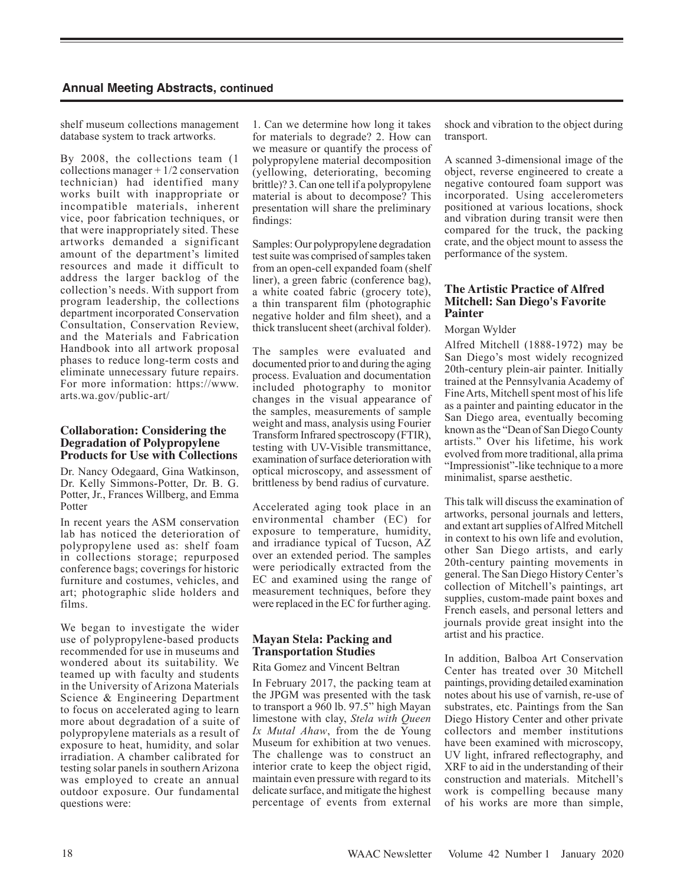shelf museum collections management database system to track artworks.

By 2008, the collections team (1 collections manager + 1/2 conservation technician) had identified many works built with inappropriate or incompatible materials, inherent vice, poor fabrication techniques, or that were inappropriately sited. These artworks demanded a significant amount of the department's limited resources and made it difficult to address the larger backlog of the collection's needs. With support from program leadership, the collections department incorporated Conservation Consultation, Conservation Review, and the Materials and Fabrication Handbook into all artwork proposal phases to reduce long-term costs and eliminate unnecessary future repairs. For more information: https://www. arts.wa.gov/public-art/

#### **Collaboration: Considering the Degradation of Polypropylene Products for Use with Collections**

Dr. Nancy Odegaard, Gina Watkinson, Dr. Kelly Simmons-Potter, Dr. B. G. Potter, Jr., Frances Willberg, and Emma Potter

In recent years the ASM conservation lab has noticed the deterioration of polypropylene used as: shelf foam in collections storage; repurposed conference bags; coverings for historic furniture and costumes, vehicles, and art; photographic slide holders and films.

We began to investigate the wider use of polypropylene-based products recommended for use in museums and wondered about its suitability. We teamed up with faculty and students in the University of Arizona Materials Science & Engineering Department to focus on accelerated aging to learn more about degradation of a suite of polypropylene materials as a result of exposure to heat, humidity, and solar irradiation. A chamber calibrated for testing solar panels in southern Arizona was employed to create an annual outdoor exposure. Our fundamental questions were:

1. Can we determine how long it takes for materials to degrade? 2. How can we measure or quantify the process of polypropylene material decomposition (yellowing, deteriorating, becoming brittle)? 3. Can one tell if a polypropylene material is about to decompose? This presentation will share the preliminary findings:

Samples: Our polypropylene degradation test suite was comprised of samples taken from an open-cell expanded foam (shelf liner), a green fabric (conference bag), a white coated fabric (grocery tote), a thin transparent film (photographic negative holder and film sheet), and a thick translucent sheet (archival folder).

The samples were evaluated and documented prior to and during the aging process. Evaluation and documentation included photography to monitor changes in the visual appearance of the samples, measurements of sample weight and mass, analysis using Fourier Transform Infrared spectroscopy (FTIR), testing with UV-Visible transmittance, examination of surface deterioration with optical microscopy, and assessment of brittleness by bend radius of curvature.

Accelerated aging took place in an environmental chamber (EC) for exposure to temperature, humidity, and irradiance typical of Tucson, AZ over an extended period. The samples were periodically extracted from the EC and examined using the range of measurement techniques, before they were replaced in the EC for further aging.

## **Mayan Stela: Packing and Transportation Studies**

#### Rita Gomez and Vincent Beltran

In February 2017, the packing team at the JPGM was presented with the task to transport a 960 lb. 97.5" high Mayan limestone with clay, *Stela with Queen Ix Mutal Ahaw*, from the de Young Museum for exhibition at two venues. The challenge was to construct an interior crate to keep the object rigid, maintain even pressure with regard to its delicate surface, and mitigate the highest percentage of events from external shock and vibration to the object during transport.

A scanned 3-dimensional image of the object, reverse engineered to create a negative contoured foam support was incorporated. Using accelerometers positioned at various locations, shock and vibration during transit were then compared for the truck, the packing crate, and the object mount to assess the performance of the system.

#### **The Artistic Practice of Alfred Mitchell: San Diego's Favorite Painter**

#### Morgan Wylder

Alfred Mitchell (1888-1972) may be San Diego's most widely recognized 20th-century plein-air painter. Initially trained at the Pennsylvania Academy of Fine Arts, Mitchell spent most of his life as a painter and painting educator in the San Diego area, eventually becoming known as the "Dean of San Diego County artists." Over his lifetime, his work evolved from more traditional, alla prima "Impressionist"-like technique to a more minimalist, sparse aesthetic.

This talk will discuss the examination of artworks, personal journals and letters, and extant art supplies of Alfred Mitchell in context to his own life and evolution, other San Diego artists, and early 20th-century painting movements in general. The San Diego History Center's collection of Mitchell's paintings, art supplies, custom-made paint boxes and French easels, and personal letters and journals provide great insight into the artist and his practice.

In addition, Balboa Art Conservation Center has treated over 30 Mitchell paintings, providing detailed examination notes about his use of varnish, re-use of substrates, etc. Paintings from the San Diego History Center and other private collectors and member institutions have been examined with microscopy, UV light, infrared reflectography, and XRF to aid in the understanding of their construction and materials. Mitchell's work is compelling because many of his works are more than simple,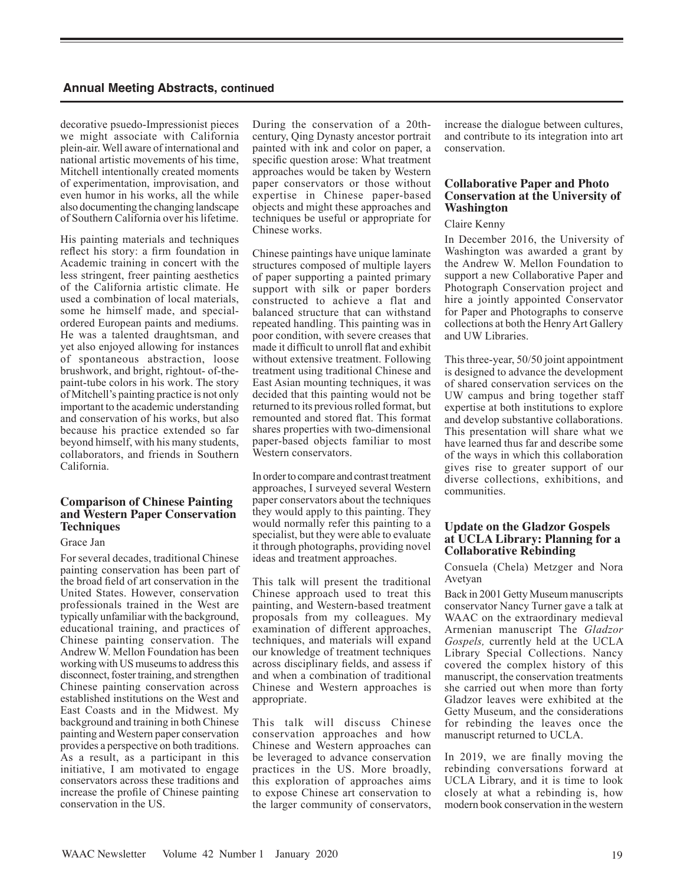decorative psuedo-Impressionist pieces we might associate with California plein-air. Well aware of international and national artistic movements of his time, Mitchell intentionally created moments of experimentation, improvisation, and even humor in his works, all the while also documenting the changing landscape of Southern California over his lifetime.

His painting materials and techniques reflect his story: a firm foundation in Academic training in concert with the less stringent, freer painting aesthetics of the California artistic climate. He used a combination of local materials, some he himself made, and specialordered European paints and mediums. He was a talented draughtsman, and yet also enjoyed allowing for instances of spontaneous abstraction, loose brushwork, and bright, rightout- of-thepaint-tube colors in his work. The story of Mitchell's painting practice is not only important to the academic understanding and conservation of his works, but also because his practice extended so far beyond himself, with his many students, collaborators, and friends in Southern California.

# **Comparison of Chinese Painting and Western Paper Conservation Techniques**

Grace Jan

For several decades, traditional Chinese painting conservation has been part of the broad field of art conservation in the United States. However, conservation professionals trained in the West are typically unfamiliar with the background, educational training, and practices of Chinese painting conservation. The Andrew W. Mellon Foundation has been working with US museums to address this disconnect, foster training, and strengthen Chinese painting conservation across established institutions on the West and East Coasts and in the Midwest. My background and training in both Chinese painting and Western paper conservation provides a perspective on both traditions. As a result, as a participant in this initiative, I am motivated to engage conservators across these traditions and increase the profile of Chinese painting conservation in the US.

During the conservation of a 20thcentury, Qing Dynasty ancestor portrait painted with ink and color on paper, a specific question arose: What treatment approaches would be taken by Western paper conservators or those without expertise in Chinese paper-based objects and might these approaches and techniques be useful or appropriate for Chinese works.

Chinese paintings have unique laminate structures composed of multiple layers of paper supporting a painted primary support with silk or paper borders constructed to achieve a flat and balanced structure that can withstand repeated handling. This painting was in poor condition, with severe creases that made it difficult to unroll flat and exhibit without extensive treatment. Following treatment using traditional Chinese and East Asian mounting techniques, it was decided that this painting would not be returned to its previous rolled format, but remounted and stored flat. This format shares properties with two-dimensional paper-based objects familiar to most Western conservators.

In order to compare and contrast treatment approaches, I surveyed several Western paper conservators about the techniques they would apply to this painting. They would normally refer this painting to a specialist, but they were able to evaluate it through photographs, providing novel ideas and treatment approaches.

This talk will present the traditional Chinese approach used to treat this painting, and Western-based treatment proposals from my colleagues. My examination of different approaches, techniques, and materials will expand our knowledge of treatment techniques across disciplinary fields, and assess if and when a combination of traditional Chinese and Western approaches is appropriate.

This talk will discuss Chinese conservation approaches and how Chinese and Western approaches can be leveraged to advance conservation practices in the US. More broadly, this exploration of approaches aims to expose Chinese art conservation to the larger community of conservators, increase the dialogue between cultures, and contribute to its integration into art conservation.

# **Collaborative Paper and Photo Conservation at the University of Washington**

#### Claire Kenny

In December 2016, the University of Washington was awarded a grant by the Andrew W. Mellon Foundation to support a new Collaborative Paper and Photograph Conservation project and hire a jointly appointed Conservator for Paper and Photographs to conserve collections at both the Henry Art Gallery and UW Libraries.

This three-year, 50/50 joint appointment is designed to advance the development of shared conservation services on the UW campus and bring together staff expertise at both institutions to explore and develop substantive collaborations. This presentation will share what we have learned thus far and describe some of the ways in which this collaboration gives rise to greater support of our diverse collections, exhibitions, and communities.

## **Update on the Gladzor Gospels at UCLA Library: Planning for a Collaborative Rebinding**

Consuela (Chela) Metzger and Nora Avetyan

Back in 2001 Getty Museum manuscripts conservator Nancy Turner gave a talk at WAAC on the extraordinary medieval Armenian manuscript The *Gladzor Gospels,* currently held at the UCLA Library Special Collections. Nancy covered the complex history of this manuscript, the conservation treatments she carried out when more than forty Gladzor leaves were exhibited at the Getty Museum, and the considerations for rebinding the leaves once the manuscript returned to UCLA.

In 2019, we are finally moving the rebinding conversations forward at UCLA Library, and it is time to look closely at what a rebinding is, how modern book conservation in the western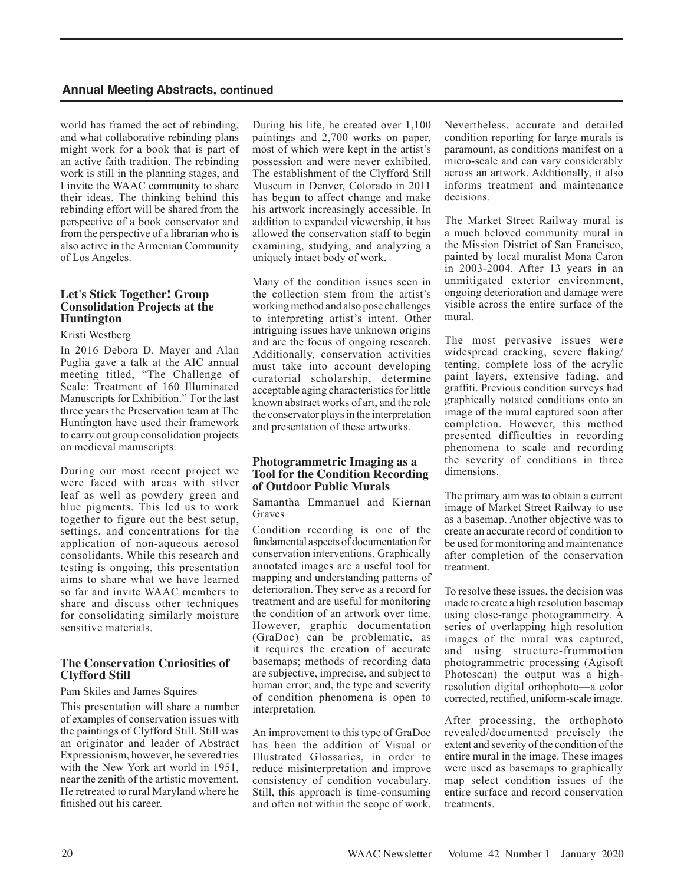world has framed the act of rebinding, and what collaborative rebinding plans might work for a book that is part of an active faith tradition. The rebinding work is still in the planning stages, and I invite the WAAC community to share their ideas. The thinking behind this rebinding effort will be shared from the perspective of a book conservator and from the perspective of a librarian who is also active in the Armenian Community of Los Angeles.

# **Let's Stick Together! Group Consolidation Projects at the Huntington**

#### Kristi Westberg

In 2016 Debora D. Mayer and Alan Puglia gave a talk at the AIC annual meeting titled, "The Challenge of Scale: Treatment of 160 Illuminated Manuscripts for Exhibition." For the last three years the Preservation team at The Huntington have used their framework to carry out group consolidation projects on medieval manuscripts.

During our most recent project we were faced with areas with silver leaf as well as powdery green and blue pigments. This led us to work together to figure out the best setup, settings, and concentrations for the application of non-aqueous aerosol consolidants. While this research and testing is ongoing, this presentation aims to share what we have learned so far and invite WAAC members to share and discuss other techniques for consolidating similarly moisture sensitive materials.

# **The Conservation Curiosities of Clyfford Still**

#### Pam Skiles and James Squires

This presentation will share a number of examples of conservation issues with the paintings of Clyfford Still. Still was an originator and leader of Abstract Expressionism, however, he severed ties with the New York art world in 1951, near the zenith of the artistic movement. He retreated to rural Maryland where he finished out his career.

During his life, he created over 1,100 paintings and 2,700 works on paper, most of which were kept in the artist's possession and were never exhibited. The establishment of the Clyfford Still Museum in Denver, Colorado in 2011 has begun to affect change and make his artwork increasingly accessible. In addition to expanded viewership, it has allowed the conservation staff to begin examining, studying, and analyzing a uniquely intact body of work.

Many of the condition issues seen in the collection stem from the artist's working method and also pose challenges to interpreting artist's intent. Other intriguing issues have unknown origins and are the focus of ongoing research. Additionally, conservation activities must take into account developing curatorial scholarship, determine acceptable aging characteristics for little known abstract works of art, and the role the conservator plays in the interpretation and presentation of these artworks.

#### **Photogrammetric Imaging as a Tool for the Condition Recording of Outdoor Public Murals**

Samantha Emmanuel and Kiernan Graves

Condition recording is one of the fundamental aspects of documentation for conservation interventions. Graphically annotated images are a useful tool for mapping and understanding patterns of deterioration. They serve as a record for treatment and are useful for monitoring the condition of an artwork over time. However, graphic documentation (GraDoc) can be problematic, as it requires the creation of accurate basemaps; methods of recording data are subjective, imprecise, and subject to human error; and, the type and severity of condition phenomena is open to interpretation.

An improvement to this type of GraDoc has been the addition of Visual or Illustrated Glossaries, in order to reduce misinterpretation and improve consistency of condition vocabulary. Still, this approach is time-consuming and often not within the scope of work. Nevertheless, accurate and detailed condition reporting for large murals is paramount, as conditions manifest on a micro-scale and can vary considerably across an artwork. Additionally, it also informs treatment and maintenance decisions.

The Market Street Railway mural is a much beloved community mural in the Mission District of San Francisco, painted by local muralist Mona Caron in 2003-2004. After 13 years in an unmitigated exterior environment, ongoing deterioration and damage were visible across the entire surface of the mural.

The most pervasive issues were widespread cracking, severe flaking/ tenting, complete loss of the acrylic paint layers, extensive fading, and graffiti. Previous condition surveys had graphically notated conditions onto an image of the mural captured soon after completion. However, this method presented difficulties in recording phenomena to scale and recording the severity of conditions in three dimensions.

The primary aim was to obtain a current image of Market Street Railway to use as a basemap. Another objective was to create an accurate record of condition to be used for monitoring and maintenance after completion of the conservation treatment.

To resolve these issues, the decision was made to create a high resolution basemap using close-range photogrammetry. A series of overlapping high resolution images of the mural was captured, and using structure-frommotion photogrammetric processing (Agisoft Photoscan) the output was a highresolution digital orthophoto—a color corrected, rectified, uniform-scale image.

After processing, the orthophoto revealed/documented precisely the extent and severity of the condition of the entire mural in the image. These images were used as basemaps to graphically map select condition issues of the entire surface and record conservation **treatments**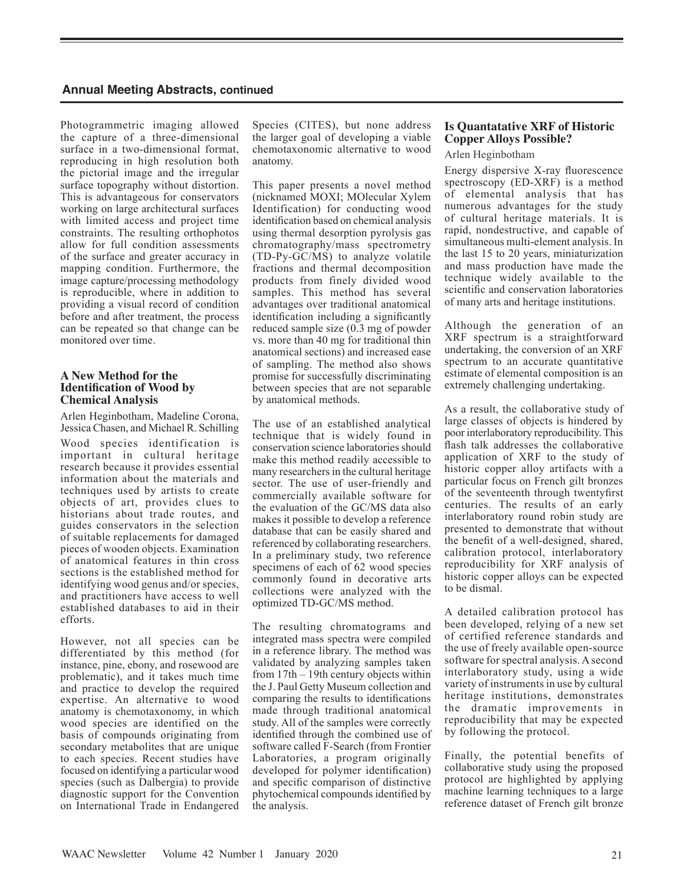Photogrammetric imaging allowed the capture of a three-dimensional surface in a two-dimensional format, reproducing in high resolution both the pictorial image and the irregular surface topography without distortion. This is advantageous for conservators working on large architectural surfaces with limited access and project time constraints. The resulting orthophotos allow for full condition assessments of the surface and greater accuracy in mapping condition. Furthermore, the image capture/processing methodology is reproducible, where in addition to providing a visual record of condition before and after treatment, the process can be repeated so that change can be monitored over time.

# **A New Method for the Identification of Wood by Chemical Analysis**

Arlen Heginbotham, Madeline Corona, Jessica Chasen, and Michael R. Schilling

Wood species identification is important in cultural heritage research because it provides essential information about the materials and techniques used by artists to create objects of art, provides clues to historians about trade routes, and guides conservators in the selection of suitable replacements for damaged pieces of wooden objects. Examination of anatomical features in thin cross sections is the established method for identifying wood genus and/or species, and practitioners have access to well established databases to aid in their efforts.

However, not all species can be differentiated by this method (for instance, pine, ebony, and rosewood are problematic), and it takes much time and practice to develop the required expertise. An alternative to wood anatomy is chemotaxonomy, in which wood species are identified on the basis of compounds originating from secondary metabolites that are unique to each species. Recent studies have focused on identifying a particular wood species (such as Dalbergia) to provide diagnostic support for the Convention on International Trade in Endangered

Species (CITES), but none address the larger goal of developing a viable chemotaxonomic alternative to wood anatomy.

This paper presents a novel method (nicknamed MOXI; MOlecular Xylem Identification) for conducting wood identification based on chemical analysis using thermal desorption pyrolysis gas chromatography/mass spectrometry (TD-Py-GC/MS) to analyze volatile fractions and thermal decomposition products from finely divided wood samples. This method has several advantages over traditional anatomical identification including a significantly reduced sample size (0.3 mg of powder vs. more than 40 mg for traditional thin anatomical sections) and increased ease of sampling. The method also shows promise for successfully discriminating between species that are not separable by anatomical methods.

The use of an established analytical technique that is widely found in conservation science laboratories should make this method readily accessible to many researchers in the cultural heritage sector. The use of user-friendly and commercially available software for the evaluation of the GC/MS data also makes it possible to develop a reference database that can be easily shared and referenced by collaborating researchers. In a preliminary study, two reference specimens of each of 62 wood species commonly found in decorative arts collections were analyzed with the optimized TD-GC/MS method.

The resulting chromatograms and integrated mass spectra were compiled in a reference library. The method was validated by analyzing samples taken from 17th – 19th century objects within the J. Paul Getty Museum collection and comparing the results to identifications made through traditional anatomical study. All of the samples were correctly identified through the combined use of software called F-Search (from Frontier Laboratories, a program originally developed for polymer identification) and specific comparison of distinctive phytochemical compounds identified by the analysis.

# **Is Quantatative XRF of Historic Copper Alloys Possible?**

Arlen Heginbotham

Energy dispersive X-ray fluorescence spectroscopy (ED-XRF) is a method of elemental analysis that has numerous advantages for the study of cultural heritage materials. It is rapid, nondestructive, and capable of simultaneous multi-element analysis. In the last 15 to 20 years, miniaturization and mass production have made the technique widely available to the scientific and conservation laboratories of many arts and heritage institutions.

Although the generation of an XRF spectrum is a straightforward undertaking, the conversion of an XRF spectrum to an accurate quantitative estimate of elemental composition is an extremely challenging undertaking.

As a result, the collaborative study of large classes of objects is hindered by poor interlaboratory reproducibility. This flash talk addresses the collaborative application of XRF to the study of historic copper alloy artifacts with a particular focus on French gilt bronzes of the seventeenth through twentyfirst centuries. The results of an early interlaboratory round robin study are presented to demonstrate that without the benefit of a well-designed, shared, calibration protocol, interlaboratory reproducibility for XRF analysis of historic copper alloys can be expected to be dismal.

A detailed calibration protocol has been developed, relying of a new set of certified reference standards and the use of freely available open-source software for spectral analysis. A second interlaboratory study, using a wide variety of instruments in use by cultural heritage institutions, demonstrates the dramatic improvements in reproducibility that may be expected by following the protocol.

Finally, the potential benefits of collaborative study using the proposed protocol are highlighted by applying machine learning techniques to a large reference dataset of French gilt bronze